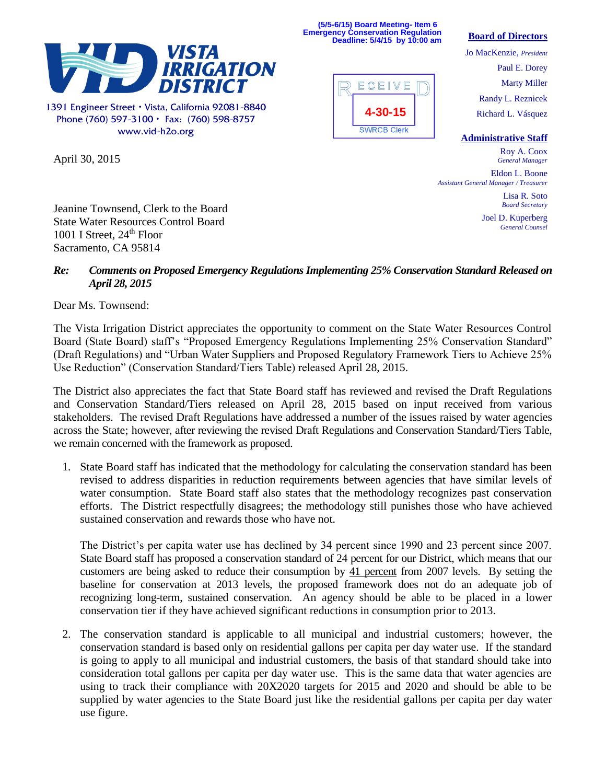

1391 Engineer Street · Vista, California 92081-8840 Phone (760) 597-3100  $\cdot$  Fax: (760) 598-8757 www.vid-h2o.org

April 30, 2015



**(5/5-6/15) Board Meeting- Item 6 Emergency Conservation Regulation Deadline: 5/4/15 by 10:00 am**

## **Board of Directors**

Jo MacKenzie, *President* Paul E. Dorey Marty Miller Randy L. Reznicek Richard L. Vásquez

**Administrative Staff**

Roy A. Coox *General Manager*

Eldon L. Boone *Assistant General Manager / Treasurer*

> Lisa R. Soto *Board Secretary*

Joel D. Kuperberg *General Counsel*

Jeanine Townsend, Clerk to the Board State Water Resources Control Board 1001 I Street,  $24<sup>th</sup>$  Floor Sacramento, CA 95814

## *Re: Comments on Proposed Emergency Regulations Implementing 25% Conservation Standard Released on April 28, 2015*

Dear Ms. Townsend:

The Vista Irrigation District appreciates the opportunity to comment on the State Water Resources Control Board (State Board) staff's "Proposed Emergency Regulations Implementing 25% Conservation Standard" (Draft Regulations) and "Urban Water Suppliers and Proposed Regulatory Framework Tiers to Achieve 25% Use Reduction" (Conservation Standard/Tiers Table) released April 28, 2015.

The District also appreciates the fact that State Board staff has reviewed and revised the Draft Regulations and Conservation Standard/Tiers released on April 28, 2015 based on input received from various stakeholders. The revised Draft Regulations have addressed a number of the issues raised by water agencies across the State; however, after reviewing the revised Draft Regulations and Conservation Standard/Tiers Table, we remain concerned with the framework as proposed.

1. State Board staff has indicated that the methodology for calculating the conservation standard has been revised to address disparities in reduction requirements between agencies that have similar levels of water consumption. State Board staff also states that the methodology recognizes past conservation efforts. The District respectfully disagrees; the methodology still punishes those who have achieved sustained conservation and rewards those who have not.

The District's per capita water use has declined by 34 percent since 1990 and 23 percent since 2007. State Board staff has proposed a conservation standard of 24 percent for our District, which means that our customers are being asked to reduce their consumption by 41 percent from 2007 levels. By setting the baseline for conservation at 2013 levels, the proposed framework does not do an adequate job of recognizing long-term, sustained conservation. An agency should be able to be placed in a lower conservation tier if they have achieved significant reductions in consumption prior to 2013.

2. The conservation standard is applicable to all municipal and industrial customers; however, the conservation standard is based only on residential gallons per capita per day water use. If the standard is going to apply to all municipal and industrial customers, the basis of that standard should take into consideration total gallons per capita per day water use. This is the same data that water agencies are using to track their compliance with 20X2020 targets for 2015 and 2020 and should be able to be supplied by water agencies to the State Board just like the residential gallons per capita per day water use figure.